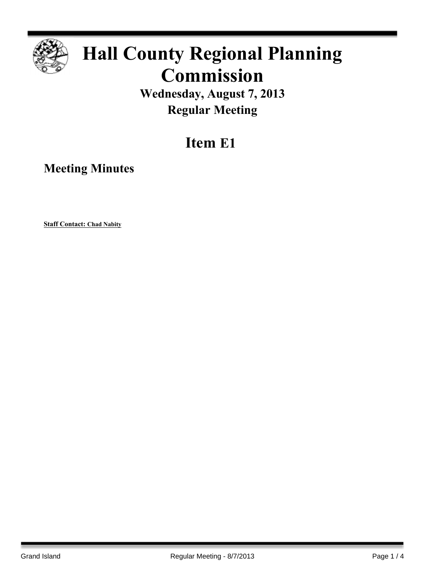

# **Hall County Regional Planning Commission**

**Wednesday, August 7, 2013 Regular Meeting**

# **Item E1**

**Meeting Minutes**

**Staff Contact: Chad Nabity**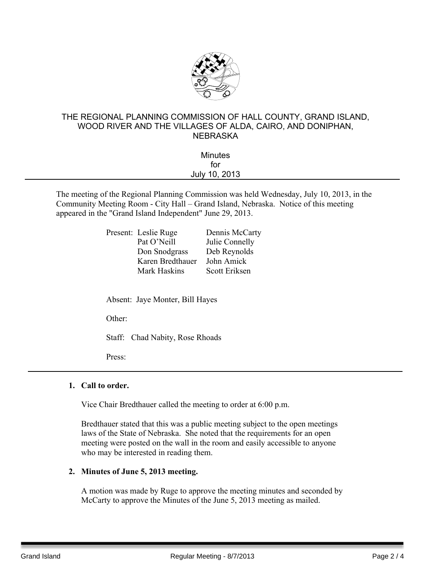

# THE REGIONAL PLANNING COMMISSION OF HALL COUNTY, GRAND ISLAND, WOOD RIVER AND THE VILLAGES OF ALDA, CAIRO, AND DONIPHAN, NEBRASKA

| <b>Minutes</b> |  |
|----------------|--|
| for            |  |
| July 10, 2013  |  |
|                |  |

The meeting of the Regional Planning Commission was held Wednesday, July 10, 2013, in the Community Meeting Room - City Hall – Grand Island, Nebraska. Notice of this meeting appeared in the "Grand Island Independent" June 29, 2013.

| Present: Leslie Ruge | Dennis McCarty |
|----------------------|----------------|
| Pat O'Neill          | Julie Connelly |
| Don Snodgrass        | Deb Reynolds   |
| Karen Bredthauer     | John Amick     |
| Mark Haskins         | Scott Eriksen  |
|                      |                |

Absent: Jaye Monter, Bill Hayes

Other:

Staff: Chad Nabity, Rose Rhoads

Press:

# **1. Call to order.**

Vice Chair Bredthauer called the meeting to order at 6:00 p.m.

Bredthauer stated that this was a public meeting subject to the open meetings laws of the State of Nebraska. She noted that the requirements for an open meeting were posted on the wall in the room and easily accessible to anyone who may be interested in reading them.

# **2. Minutes of June 5, 2013 meeting.**

A motion was made by Ruge to approve the meeting minutes and seconded by McCarty to approve the Minutes of the June 5, 2013 meeting as mailed.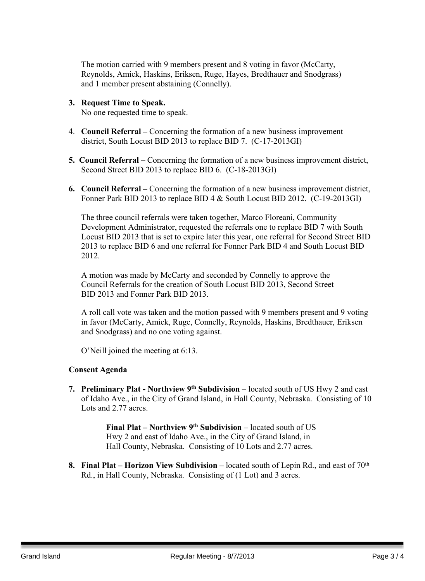The motion carried with 9 members present and 8 voting in favor (McCarty, Reynolds, Amick, Haskins, Eriksen, Ruge, Hayes, Bredthauer and Snodgrass) and 1 member present abstaining (Connelly).

**3. Request Time to Speak.**

No one requested time to speak.

- 4. **Council Referral –** Concerning the formation of a new business improvement district, South Locust BID 2013 to replace BID 7. (C-17-2013GI)
- **5. Council Referral –** Concerning the formation of a new business improvement district, Second Street BID 2013 to replace BID 6. (C-18-2013GI)
- **6. Council Referral –** Concerning the formation of a new business improvement district, Fonner Park BID 2013 to replace BID 4 & South Locust BID 2012. (C-19-2013GI)

The three council referrals were taken together, Marco Floreani, Community Development Administrator, requested the referrals one to replace BID 7 with South Locust BID 2013 that is set to expire later this year, one referral for Second Street BID 2013 to replace BID 6 and one referral for Fonner Park BID 4 and South Locust BID 2012.

A motion was made by McCarty and seconded by Connelly to approve the Council Referrals for the creation of South Locust BID 2013, Second Street BID 2013 and Fonner Park BID 2013.

A roll call vote was taken and the motion passed with 9 members present and 9 voting in favor (McCarty, Amick, Ruge, Connelly, Reynolds, Haskins, Bredthauer, Eriksen and Snodgrass) and no one voting against.

O'Neill joined the meeting at 6:13.

# **Consent Agenda**

**7. Preliminary Plat - Northview 9 th Subdivision** – located south of US Hwy 2 and east of Idaho Ave., in the City of Grand Island, in Hall County, Nebraska. Consisting of 10 Lots and 2.77 acres.

> **Final Plat – Northview 9 th Subdivision** – located south of US Hwy 2 and east of Idaho Ave., in the City of Grand Island, in Hall County, Nebraska. Consisting of 10 Lots and 2.77 acres.

**8. Final Plat – Horizon View Subdivision** – located south of Lepin Rd., and east of 70th Rd., in Hall County, Nebraska. Consisting of (1 Lot) and 3 acres.